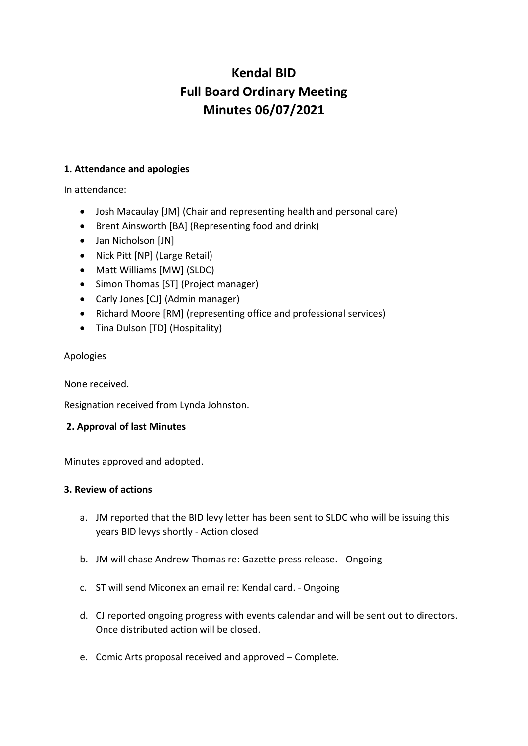# **Kendal BID Full Board Ordinary Meeting Minutes 06/07/2021**

## **1. Attendance and apologies**

In attendance:

- Josh Macaulay [JM] (Chair and representing health and personal care)
- Brent Ainsworth [BA] (Representing food and drink)
- Jan Nicholson [JN]
- Nick Pitt [NP] (Large Retail)
- Matt Williams [MW] (SLDC)
- Simon Thomas [ST] (Project manager)
- Carly Jones [CJ] (Admin manager)
- Richard Moore [RM] (representing office and professional services)
- Tina Dulson [TD] (Hospitality)

## Apologies

None received.

Resignation received from Lynda Johnston.

## **2. Approval of last Minutes**

Minutes approved and adopted.

## **3. Review of actions**

- a. JM reported that the BID levy letter has been sent to SLDC who will be issuing this years BID levys shortly - Action closed
- b. JM will chase Andrew Thomas re: Gazette press release. Ongoing
- c. ST will send Miconex an email re: Kendal card. Ongoing
- d. CJ reported ongoing progress with events calendar and will be sent out to directors. Once distributed action will be closed.
- e. Comic Arts proposal received and approved Complete.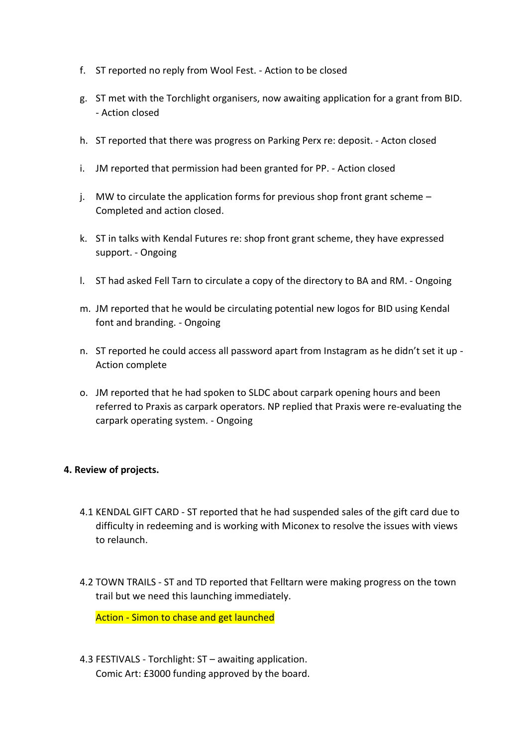- f. ST reported no reply from Wool Fest. Action to be closed
- g. ST met with the Torchlight organisers, now awaiting application for a grant from BID. - Action closed
- h. ST reported that there was progress on Parking Perx re: deposit. Acton closed
- i. JM reported that permission had been granted for PP. Action closed
- j. MW to circulate the application forms for previous shop front grant scheme  $-$ Completed and action closed.
- k. ST in talks with Kendal Futures re: shop front grant scheme, they have expressed support. - Ongoing
- l. ST had asked Fell Tarn to circulate a copy of the directory to BA and RM. Ongoing
- m. JM reported that he would be circulating potential new logos for BID using Kendal font and branding. - Ongoing
- n. ST reported he could access all password apart from Instagram as he didn't set it up Action complete
- o. JM reported that he had spoken to SLDC about carpark opening hours and been referred to Praxis as carpark operators. NP replied that Praxis were re-evaluating the carpark operating system. - Ongoing

## **4. Review of projects.**

- 4.1 KENDAL GIFT CARD ST reported that he had suspended sales of the gift card due to difficulty in redeeming and is working with Miconex to resolve the issues with views to relaunch.
- 4.2 TOWN TRAILS ST and TD reported that Felltarn were making progress on the town trail but we need this launching immediately.

Action - Simon to chase and get launched

4.3 FESTIVALS - Torchlight: ST – awaiting application. Comic Art: £3000 funding approved by the board.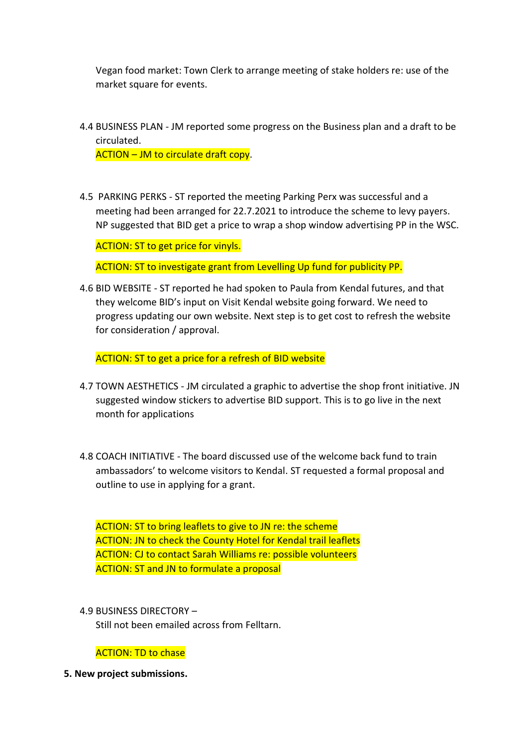Vegan food market: Town Clerk to arrange meeting of stake holders re: use of the market square for events.

4.4 BUSINESS PLAN - JM reported some progress on the Business plan and a draft to be circulated.

ACTION – JM to circulate draft copy.

4.5 PARKING PERKS - ST reported the meeting Parking Perx was successful and a meeting had been arranged for 22.7.2021 to introduce the scheme to levy payers. NP suggested that BID get a price to wrap a shop window advertising PP in the WSC.

ACTION: ST to get price for vinyls.

ACTION: ST to investigate grant from Levelling Up fund for publicity PP.

4.6 BID WEBSITE - ST reported he had spoken to Paula from Kendal futures, and that they welcome BID's input on Visit Kendal website going forward. We need to progress updating our own website. Next step is to get cost to refresh the website for consideration / approval.

ACTION: ST to get a price for a refresh of BID website

- 4.7 TOWN AESTHETICS JM circulated a graphic to advertise the shop front initiative. JN suggested window stickers to advertise BID support. This is to go live in the next month for applications
- 4.8 COACH INITIATIVE The board discussed use of the welcome back fund to train ambassadors' to welcome visitors to Kendal. ST requested a formal proposal and outline to use in applying for a grant.

ACTION: ST to bring leaflets to give to JN re: the scheme ACTION: JN to check the County Hotel for Kendal trail leaflets ACTION: CJ to contact Sarah Williams re: possible volunteers ACTION: ST and JN to formulate a proposal

4.9 BUSINESS DIRECTORY – Still not been emailed across from Felltarn.

ACTION: TD to chase

**5. New project submissions.**